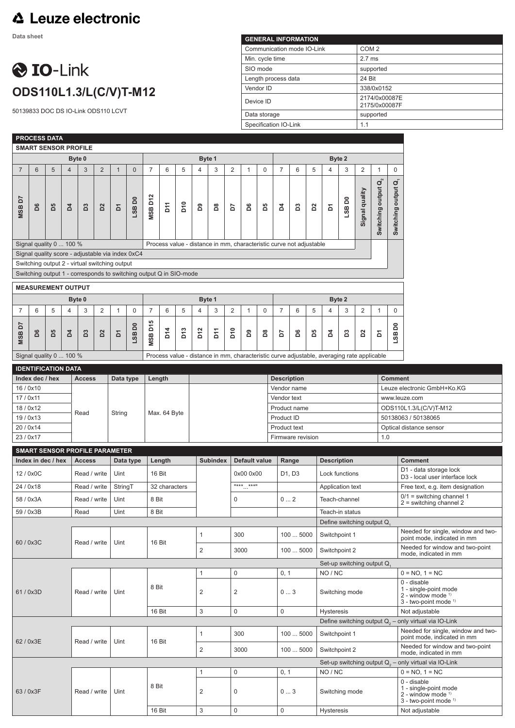## △ Leuze electronic

**Data sheet**

## **O** IO-Link **ODS110L1.3/L(C/V)T-M12**

50139833 DOC DS IO-Link ODS110 LCVT

| <b>GENERAL INFORMATION</b> |                                |  |  |  |  |  |  |  |  |
|----------------------------|--------------------------------|--|--|--|--|--|--|--|--|
| Communication mode IO-Link | COM <sub>2</sub>               |  |  |  |  |  |  |  |  |
| Min. cycle time            | $2.7$ ms                       |  |  |  |  |  |  |  |  |
| SIO mode                   | supported                      |  |  |  |  |  |  |  |  |
| Length process data        | 24 Bit                         |  |  |  |  |  |  |  |  |
| Vendor ID                  | 338/0x0152                     |  |  |  |  |  |  |  |  |
| Device ID                  | 2174/0x00087E<br>2175/0x00087F |  |  |  |  |  |  |  |  |
| Data storage               | supported                      |  |  |  |  |  |  |  |  |
| Specification IO-Link      | 1.1                            |  |  |  |  |  |  |  |  |

1

|                                                                                                                     |                 | <b>PROCESS DATA</b>        |                |                             |                |              |                                            |                               |                                |                             |                         |                  |                           |                   |                 |                                                                                            |                                                                                        |                |                  |                       |                                                                                                      |                                                          |                                                                                        |                                                                                                |
|---------------------------------------------------------------------------------------------------------------------|-----------------|----------------------------|----------------|-----------------------------|----------------|--------------|--------------------------------------------|-------------------------------|--------------------------------|-----------------------------|-------------------------|------------------|---------------------------|-------------------|-----------------|--------------------------------------------------------------------------------------------|----------------------------------------------------------------------------------------|----------------|------------------|-----------------------|------------------------------------------------------------------------------------------------------|----------------------------------------------------------|----------------------------------------------------------------------------------------|------------------------------------------------------------------------------------------------|
|                                                                                                                     |                 |                            |                | <b>SMART SENSOR PROFILE</b> |                |              |                                            |                               |                                |                             |                         |                  |                           |                   |                 |                                                                                            |                                                                                        |                |                  |                       |                                                                                                      |                                                          |                                                                                        |                                                                                                |
| Byte 0                                                                                                              |                 |                            |                |                             |                |              |                                            | Byte 1                        |                                |                             |                         |                  |                           |                   |                 |                                                                                            | Byte 2                                                                                 |                |                  |                       |                                                                                                      |                                                          |                                                                                        |                                                                                                |
| $\overline{7}$                                                                                                      | 6               | 5                          | $\overline{4}$ | 3                           | $\overline{2}$ | $\mathbf{1}$ | $\mathbf 0$                                | 7                             | 6                              | 5                           | $\overline{\mathbf{4}}$ | 3                | 2                         | $\mathbf{1}$      | 0               | $\overline{7}$                                                                             | 6                                                                                      | 5              | 4                | 3                     | $\overline{2}$                                                                                       | $\mathbf{1}$                                             | $\mathbf 0$                                                                            |                                                                                                |
| <b>MSBD7</b>                                                                                                        | D6              | Ъ5                         | Σđ             | Sa                          | $\overline{D}$ | Σ            | DO <sub>1</sub><br>LSB                     | <b>MSB D12</b>                | Σ'n                            | 510                         | 2                       | $\mathsf{^{8}O}$ | 5d                        | ۵G                | 50              | 2                                                                                          | B3                                                                                     | 2s             | δ                | LSB D0                | Signal quality                                                                                       | Switching output $\mathbf{Q}_2$                          | $\vec{q}$<br>Switching output                                                          |                                                                                                |
|                                                                                                                     |                 | Signal quality 0  100 %    |                |                             |                |              |                                            |                               |                                |                             |                         |                  |                           |                   |                 | Process value - distance in mm, characteristic curve not adjustable                        |                                                                                        |                |                  |                       |                                                                                                      |                                                          |                                                                                        |                                                                                                |
| Signal quality score - adjustable via index 0xC4                                                                    |                 |                            |                |                             |                |              |                                            |                               |                                |                             |                         |                  |                           |                   |                 |                                                                                            |                                                                                        |                |                  |                       |                                                                                                      |                                                          |                                                                                        |                                                                                                |
| Switching output 2 - virtual switching output<br>Switching output 1 - corresponds to switching output Q in SIO-mode |                 |                            |                |                             |                |              |                                            |                               |                                |                             |                         |                  |                           |                   |                 |                                                                                            |                                                                                        |                |                  |                       |                                                                                                      |                                                          |                                                                                        |                                                                                                |
|                                                                                                                     |                 |                            |                |                             |                |              |                                            |                               |                                |                             |                         |                  |                           |                   |                 |                                                                                            |                                                                                        |                |                  |                       |                                                                                                      |                                                          |                                                                                        |                                                                                                |
|                                                                                                                     |                 | <b>MEASUREMENT OUTPUT</b>  |                |                             |                |              |                                            |                               |                                |                             |                         |                  |                           |                   |                 |                                                                                            |                                                                                        |                |                  |                       |                                                                                                      |                                                          |                                                                                        |                                                                                                |
|                                                                                                                     |                 |                            |                | Byte 0                      |                |              |                                            |                               |                                |                             |                         | Byte 1           |                           |                   |                 |                                                                                            |                                                                                        |                |                  | Byte 2                |                                                                                                      |                                                          |                                                                                        |                                                                                                |
| 7                                                                                                                   | 6               | 5                          | 4              | 3                           | 2              | $\mathbf{1}$ | $\mathbf 0$                                | 7                             | 6                              | 5                           | $\overline{4}$          | 3                | 2                         | $\mathbf{1}$      | 0               | $\overline{7}$                                                                             | 6                                                                                      | 5              | $\overline{4}$   | 3                     | $\overline{\mathbf{c}}$                                                                              | $\mathbf{1}$                                             | $\mathbf 0$                                                                            |                                                                                                |
| 5<br><b>MSB</b>                                                                                                     | D6              | B5                         | Σđ             | D <sub>3</sub>              | $\overline{D}$ | Σ            | δ0<br>LSB                                  | D <sub>15</sub><br><b>MSB</b> | D14                            | D <sub>13</sub>             | D <sub>12</sub>         | 5 <sup>7</sup>   | D10                       | 20                | $^{\tt 8}$      | 5                                                                                          | å                                                                                      | ă              | 2                | ដ                     | $\mathsf{D}2$                                                                                        | Σ                                                        | õ<br>LSB                                                                               |                                                                                                |
|                                                                                                                     |                 | Signal quality 0  100 %    |                |                             |                |              |                                            |                               |                                |                             |                         |                  |                           |                   |                 | Process value - distance in mm, characteristic curve adjustable, averaging rate applicable |                                                                                        |                |                  |                       |                                                                                                      |                                                          |                                                                                        |                                                                                                |
|                                                                                                                     |                 | <b>IDENTIFICATION DATA</b> |                |                             |                |              |                                            |                               |                                |                             |                         |                  |                           |                   |                 |                                                                                            |                                                                                        |                |                  |                       |                                                                                                      |                                                          |                                                                                        |                                                                                                |
|                                                                                                                     | Index dec / hex |                            |                | <b>Access</b>               |                | Data type    |                                            | Length                        |                                |                             |                         |                  |                           |                   |                 | <b>Description</b>                                                                         |                                                                                        |                |                  |                       |                                                                                                      |                                                          | <b>Comment</b>                                                                         |                                                                                                |
| 16/0x10                                                                                                             |                 |                            |                |                             |                |              |                                            |                               |                                |                             |                         |                  |                           |                   | Vendor name     |                                                                                            |                                                                                        |                |                  |                       |                                                                                                      | Leuze electronic GmbH+Ko.KG                              |                                                                                        |                                                                                                |
| 17 / 0x11                                                                                                           |                 |                            |                |                             |                |              |                                            |                               |                                |                             |                         |                  |                           |                   | Vendor text     |                                                                                            |                                                                                        |                |                  |                       | www.leuze.com                                                                                        |                                                          |                                                                                        |                                                                                                |
| 18/0x12                                                                                                             |                 |                            |                | Read<br>String              |                |              |                                            | Max. 64 Byte                  |                                |                             |                         |                  |                           |                   |                 | Product name<br>Product ID                                                                 |                                                                                        |                |                  |                       |                                                                                                      | ODS110L1.3/L(C/V)T-M12<br>50138063 / 50138065            |                                                                                        |                                                                                                |
| 19/0x13<br>20 / 0x14                                                                                                |                 |                            |                |                             |                |              |                                            |                               |                                |                             |                         |                  |                           |                   |                 | <b>Product text</b>                                                                        |                                                                                        |                |                  |                       |                                                                                                      |                                                          | Optical distance sensor                                                                |                                                                                                |
| 23/0x17                                                                                                             |                 |                            |                |                             |                |              |                                            |                               |                                |                             |                         |                  |                           |                   |                 | 1.0<br>Firmware revision                                                                   |                                                                                        |                |                  |                       |                                                                                                      |                                                          |                                                                                        |                                                                                                |
| <b>SMART SENSOR PROFILE PARAMETER</b>                                                                               |                 |                            |                |                             |                |              |                                            |                               |                                |                             |                         |                  |                           |                   |                 |                                                                                            |                                                                                        |                |                  |                       |                                                                                                      |                                                          |                                                                                        |                                                                                                |
| Index in dec / hex<br><b>Access</b><br>Data type                                                                    |                 |                            |                |                             |                |              | Length<br><b>Subindex</b><br>Default value |                               |                                |                             |                         |                  |                           | Range             |                 | <b>Description</b>                                                                         |                                                                                        |                |                  |                       | <b>Comment</b>                                                                                       |                                                          |                                                                                        |                                                                                                |
| 12/0x0C                                                                                                             |                 |                            |                | Read / write<br>Uint        |                |              |                                            | 16 Bit                        |                                |                             |                         |                  | 0x00 0x00                 |                   |                 | D1, D3                                                                                     |                                                                                        | Lock functions |                  |                       |                                                                                                      |                                                          | D1 - data storage lock<br>D3 - local user interface lock                               |                                                                                                |
| 24 / 0x18                                                                                                           |                 |                            |                | Read / write                |                |              | StringT                                    |                               | 32 characters                  |                             |                         |                  |                           | $***$ ***"        |                 |                                                                                            |                                                                                        |                | Application text |                       |                                                                                                      |                                                          |                                                                                        | Free text, e.g. item designation                                                               |
| 58 / 0x3A                                                                                                           |                 |                            |                | Read / write<br>Uint        |                |              |                                            | 8 Bit                         |                                |                             | 0                       |                  |                           |                   | 02              |                                                                                            | Teach-channel                                                                          |                |                  |                       |                                                                                                      | $0/1$ = switching channel 1<br>$2$ = switching channel 2 |                                                                                        |                                                                                                |
| 59 / 0x3B<br>Read<br>Uint                                                                                           |                 |                            |                | 8 Bit                       |                |              |                                            |                               |                                |                             |                         |                  |                           |                   | Teach-in status |                                                                                            |                                                                                        |                |                  |                       |                                                                                                      |                                                          |                                                                                        |                                                                                                |
|                                                                                                                     |                 |                            |                |                             |                |              |                                            |                               |                                |                             |                         |                  | Define switching output Q |                   |                 |                                                                                            |                                                                                        |                |                  |                       |                                                                                                      |                                                          |                                                                                        |                                                                                                |
| 60 / 0x3C                                                                                                           |                 |                            |                | Read / write<br>Uint        |                |              |                                            | $\mathbf{1}$<br>16 Bit        |                                |                             |                         | 300<br>1005000   |                           |                   |                 | Switchpoint 1                                                                              |                                                                                        |                |                  |                       | Needed for single, window and two-<br>point mode, indicated in mm<br>Needed for window and two-point |                                                          |                                                                                        |                                                                                                |
|                                                                                                                     |                 |                            |                |                             |                |              |                                            |                               |                                |                             | 3000<br>$\overline{c}$  |                  |                           |                   |                 | 100  5000<br>Switchpoint 2                                                                 |                                                                                        |                |                  | mode, indicated in mm |                                                                                                      |                                                          |                                                                                        |                                                                                                |
|                                                                                                                     |                 |                            |                |                             |                |              |                                            |                               |                                |                             |                         |                  |                           |                   |                 |                                                                                            |                                                                                        |                |                  |                       | Set-up switching output Q.                                                                           |                                                          |                                                                                        |                                                                                                |
| 61 / 0x3D                                                                                                           |                 |                            |                |                             |                |              |                                            |                               |                                | $\mathbf 0$<br>$\mathbf{1}$ |                         |                  |                           |                   | 0, 1<br>NO / NC |                                                                                            |                                                                                        |                |                  |                       |                                                                                                      | $0 = NO, 1 = NC$<br>0 - disable                          |                                                                                        |                                                                                                |
|                                                                                                                     |                 |                            | Read / write   |                             | Uint           |              | 8 Bit                                      |                               | $\overline{\mathbf{c}}$        |                             |                         | $\sqrt{2}$       |                           |                   | 03              |                                                                                            | Switching mode                                                                         |                |                  |                       | 1 - single-point mode<br>$2$ - window mode $1$<br>3 - two-point mode <sup>1)</sup>                   |                                                          |                                                                                        |                                                                                                |
|                                                                                                                     |                 |                            |                |                             | 16 Bit         |              |                                            |                               | $\ensuremath{\mathsf{3}}$<br>0 |                             |                         | 0                |                           | <b>Hysteresis</b> |                 |                                                                                            |                                                                                        |                |                  | Not adjustable        |                                                                                                      |                                                          |                                                                                        |                                                                                                |
|                                                                                                                     |                 |                            |                |                             |                |              |                                            |                               |                                |                             |                         |                  |                           |                   |                 |                                                                                            |                                                                                        |                |                  |                       |                                                                                                      |                                                          |                                                                                        | Define switching output $Q_0$ – only virtual via IO-Link<br>Needed for single, window and two- |
| 62 / 0x3E                                                                                                           |                 |                            |                | Read / write                |                | Uint         |                                            | 16 Bit                        |                                |                             | $\mathbf{1}$            |                  | 300                       |                   |                 |                                                                                            | 100  5000                                                                              |                | Switchpoint 1    |                       |                                                                                                      |                                                          |                                                                                        | point mode, indicated in mm<br>Needed for window and two-point                                 |
|                                                                                                                     |                 |                            |                |                             |                |              |                                            |                               |                                |                             | $\overline{c}$          |                  |                           | 3000              |                 |                                                                                            | 100  5000<br>Switchpoint 2<br>Set-up switching output $Q_0$ – only virtual via IO-Link |                |                  |                       |                                                                                                      | mode, indicated in mm                                    |                                                                                        |                                                                                                |
|                                                                                                                     |                 |                            |                |                             |                |              |                                            |                               |                                |                             | $\mathbf{1}$            |                  | $\mathbf 0$               |                   |                 |                                                                                            | 0, 1<br>NO / NC                                                                        |                |                  |                       |                                                                                                      |                                                          |                                                                                        | $0 = NO, 1 = NC$                                                                               |
| 63 / 0x3F                                                                                                           |                 |                            |                | Read / write                |                |              | Uint                                       |                               |                                | 8 Bit                       |                         | 2                |                           | 0                 |                 |                                                                                            |                                                                                        | 03             |                  | Switching mode        |                                                                                                      |                                                          | 0 - disable<br>1 - single-point mode<br>$2$ - window mode $1$<br>3 - two-point mode 1) |                                                                                                |
|                                                                                                                     |                 |                            |                |                             |                |              | 16 Bit                                     |                               |                                | $\ensuremath{\mathsf{3}}$   | $\mathsf 0$             |                  |                           | $\mathsf 0$       | Hysteresis      |                                                                                            |                                                                                        |                |                  |                       | Not adjustable                                                                                       |                                                          |                                                                                        |                                                                                                |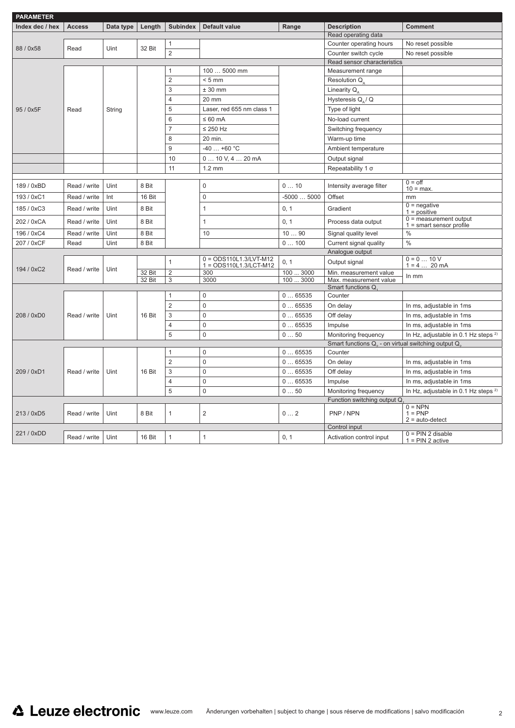| <b>PARAMETER</b>                 |              |           |                                                            |                     |                                                    |                    |                                                                            |                                                        |  |
|----------------------------------|--------------|-----------|------------------------------------------------------------|---------------------|----------------------------------------------------|--------------------|----------------------------------------------------------------------------|--------------------------------------------------------|--|
| Index dec / hex<br><b>Access</b> |              | Data type | <b>Subindex</b><br><b>Default value</b><br>Length<br>Range |                     |                                                    | <b>Description</b> | <b>Comment</b>                                                             |                                                        |  |
|                                  |              |           |                                                            |                     |                                                    |                    | Read operating data                                                        |                                                        |  |
| 88 / 0x58                        | Read         | Uint      | 32 Bit                                                     | $\mathbf{1}$        |                                                    |                    | Counter operating hours                                                    | No reset possible                                      |  |
|                                  |              |           |                                                            | $\overline{2}$      |                                                    |                    | Counter switch cycle                                                       | No reset possible                                      |  |
|                                  |              |           |                                                            |                     |                                                    |                    | Read sensor characteristics                                                |                                                        |  |
|                                  |              |           |                                                            | $\mathbf{1}$        | 100  5000 mm                                       |                    | Measurement range                                                          |                                                        |  |
|                                  |              |           |                                                            | 2                   | $< 5$ mm                                           |                    | Resolution Q                                                               |                                                        |  |
|                                  |              |           |                                                            | 3                   | $± 30$ mm                                          |                    | Linearity Q                                                                |                                                        |  |
|                                  |              |           |                                                            | 4                   | 20 mm                                              |                    | Hysteresis $Q_{\alpha}$ / Q                                                |                                                        |  |
| 95 / 0x5F                        | Read         | String    |                                                            | 5                   | Laser, red 655 nm class 1                          |                    | Type of light                                                              |                                                        |  |
|                                  |              |           |                                                            | 6                   | $\leq 60$ mA                                       |                    | No-load current                                                            |                                                        |  |
|                                  |              |           |                                                            | $\overline{7}$      | $\leq$ 250 Hz                                      |                    | Switching frequency                                                        |                                                        |  |
|                                  |              |           |                                                            | 8                   | 20 min.                                            |                    | Warm-up time                                                               |                                                        |  |
|                                  |              |           |                                                            | 9                   | $-40+60$ °C                                        |                    | Ambient temperature                                                        |                                                        |  |
|                                  |              |           |                                                            | 10                  | $010$ V, $420$ mA                                  |                    | Output signal                                                              |                                                        |  |
|                                  |              |           |                                                            | 11                  | $1.2 \text{ mm}$                                   |                    | Repeatability 1 $\sigma$                                                   |                                                        |  |
|                                  |              |           |                                                            |                     |                                                    |                    |                                                                            | $0 =$ off                                              |  |
| 189 / 0xBD                       | Read / write | Uint      | 8 Bit                                                      |                     | $\mathbf 0$                                        | 010                | Intensity average filter                                                   | $10 = max$ .                                           |  |
| 193 / 0xC1                       | Read / write | Int       | 16 Bit                                                     |                     | $\mathbf 0$                                        | $-50005000$        | Offset                                                                     | mm                                                     |  |
| 185 / 0xC3                       | Read / write | Uint      | 8 Bit                                                      |                     | $\mathbf{1}$                                       | 0, 1               | Gradient                                                                   | $0 =$ negative<br>$1 = positive$                       |  |
| 202 / 0xCA                       | Read / write | Uint      | 8 Bit                                                      |                     | 1                                                  | 0, 1               | Process data output                                                        | $0 = measurement$ output<br>$1 =$ smart sensor profile |  |
| 196 / 0xC4                       | Read / write | Uint      | 8 Bit                                                      |                     | 10                                                 | 1090               | Signal quality level                                                       | $\%$                                                   |  |
| 207 / 0xCF                       | Read         | Uint      | 8 Bit                                                      |                     |                                                    | 0100               | Current signal quality                                                     | $\frac{0}{0}$                                          |  |
|                                  |              |           |                                                            |                     |                                                    |                    | Analogue output                                                            |                                                        |  |
| 194 / 0xC2                       | Read / write | Uint      |                                                            | $\mathbf{1}$        | $0 = ODS110L1.3/LVT-M12$<br>1 = ODS110L1.3/LCT-M12 | 0, 1               | Output signal                                                              | $0 = 0  10 V$<br>$1 = 4  20 mA$                        |  |
|                                  |              |           | 32 Bit                                                     | $\overline{2}$      | 300                                                | 100  3000          | Min. measurement value                                                     | In mm                                                  |  |
|                                  |              |           | 32 Bit                                                     | 3                   | 3000                                               | 100  3000          | Max. measurement value<br>Smart functions Q                                |                                                        |  |
|                                  |              |           |                                                            | $\mathbf{1}$        | $\mathbf 0$                                        | 065535             | Counter                                                                    |                                                        |  |
|                                  |              |           |                                                            | 2                   | $\Omega$                                           | 065535             | On delay                                                                   | In ms, adjustable in 1ms                               |  |
| 208 / 0xD0                       | Read / write | Uint      | 16 Bit                                                     | 3                   | $\Omega$                                           | 065535             | Off delay                                                                  |                                                        |  |
|                                  |              |           |                                                            |                     |                                                    |                    |                                                                            | In ms, adjustable in 1ms                               |  |
|                                  |              |           |                                                            | $\overline{4}$<br>5 | $\mathbf 0$<br>$\Omega$                            | 065535             | Impulse                                                                    | In ms, adjustable in 1ms                               |  |
|                                  |              |           |                                                            |                     |                                                    | 050                | Monitoring frequency                                                       | In Hz, adjustable in 0.1 Hz steps <sup>2)</sup>        |  |
|                                  |              |           |                                                            | $\mathbf{1}$        | $\mathbf 0$                                        | 065535             | Smart functions Q <sub>2</sub> - on virtual switching output Q.<br>Counter |                                                        |  |
|                                  |              |           |                                                            | $\overline{2}$      | $\mathbf 0$                                        | 065535             |                                                                            |                                                        |  |
|                                  |              |           |                                                            | 3                   | $\mathbf 0$                                        |                    | On delay                                                                   | In ms, adjustable in 1ms                               |  |
| 209 / 0xD1                       | Read / write | Uint      | 16 Bit                                                     |                     |                                                    | 065535             | Off delay                                                                  | In ms, adjustable in 1ms                               |  |
|                                  |              |           |                                                            | 4                   | $\mathbf 0$                                        | 065535             | Impulse                                                                    | In ms, adjustable in 1ms                               |  |
|                                  |              |           |                                                            | 5                   | $\mathbf 0$                                        | 050                | Monitoring frequency                                                       | In Hz, adjustable in 0.1 Hz steps <sup>2)</sup>        |  |
|                                  |              |           |                                                            |                     |                                                    |                    | Function switching output Q                                                | $0 = NPN$                                              |  |
| 213 / 0xD5                       | Read / write | Uint      | 8 Bit                                                      | $\mathbf{1}$        | $\overline{2}$                                     | 02                 | PNP / NPN                                                                  | $1 = PNP$<br>$2 = auto-detect$                         |  |
|                                  |              |           |                                                            |                     |                                                    |                    | Control input                                                              |                                                        |  |
| 221 / 0xDD                       | Read / write | Uint      | 16 Bit                                                     | 1                   | $\mathbf{1}$                                       | 0, 1               | Activation control input                                                   | $0 = PIN$ 2 disable<br>$1 = PIN 2$ active              |  |